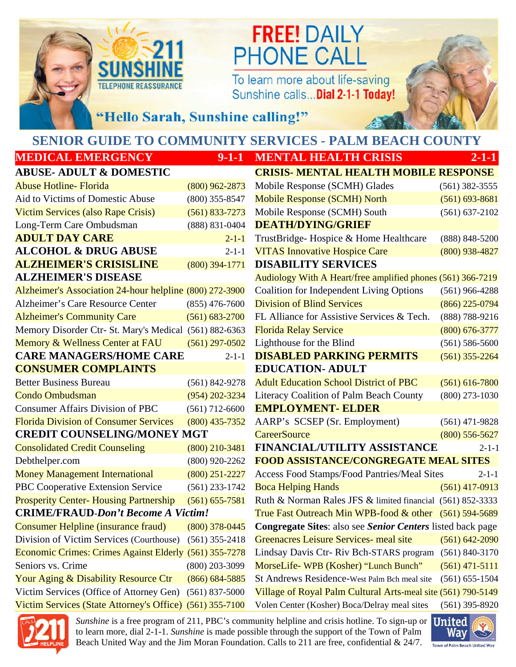

# **FREE! DAILY PHONE CALL**

To learn more about life-saving Sunshine calls... Dial 2-1-1 Today!



"Hello Sarah, Sunshine calling!"

# **SENIOR GUIDE TO COMMUNITY SERVICES - PALM BEACH COUNTY**

### **MEDICAL EMERGENCY** 9-1-1 **MENTAL HEALTH CRISIS**

#### **ABUSE- ADULT & DOMESTIC**

| <b>Abuse Hotline- Florida</b>                           | $(800)$ 962-2873   | Mobile Response (SCMH) Glades                                | $(561)$ 382-3555   |
|---------------------------------------------------------|--------------------|--------------------------------------------------------------|--------------------|
| Aid to Victims of Domestic Abuse                        | $(800)$ 355-8547   | <b>Mobile Response (SCMH) North</b>                          | $(561) 693 - 8681$ |
| Victim Services (also Rape Crisis)                      | $(561) 833 - 7273$ | Mobile Response (SCMH) South                                 | $(561) 637 - 2102$ |
| Long-Term Care Ombudsman                                | (888) 831-0404     | <b>DEATH/DYING/GRIEF</b>                                     |                    |
| <b>ADULT DAY CARE</b>                                   | $2 - 1 - 1$        | TrustBridge-Hospice & Home Healthcare                        | (888) 848-5200     |
| <b>ALCOHOL &amp; DRUG ABUSE</b>                         | $2 - 1 - 1$        | <b>VITAS Innovative Hospice Care</b>                         | $(800)$ 938-4827   |
| <b>ALZHEIMER'S CRISISLINE</b>                           | $(800)$ 394-1771   | <b>DISABILITY SERVICES</b>                                   |                    |
| <b>ALZHEIMER'S DISEASE</b>                              |                    | Audiology With A Heart/free amplified phones (561) 366-7219  |                    |
| Alzheimer's Association 24-hour helpline (800) 272-3900 |                    | <b>Coalition for Independent Living Options</b>              | $(561)$ 966-4288   |
| Alzheimer's Care Resource Center                        | $(855)$ 476-7600   | <b>Division of Blind Services</b>                            | $(866)$ 225-0794   |
| <b>Alzheimer's Community Care</b>                       | $(561) 683 - 2700$ | FL Alliance for Assistive Services & Tech.                   | (888) 788-9216     |
| Memory Disorder Ctr- St. Mary's Medical (561) 882-6363  |                    | <b>Florida Relay Service</b>                                 | $(800)$ 676-3777   |
| Memory & Wellness Center at FAU                         | $(561)$ 297-0502   | Lighthouse for the Blind                                     | $(561) 586 - 5600$ |
| <b>CARE MANAGERS/HOME CARE</b>                          | $2 - 1 - 1$        | <b>DISABLED PARKING PERMITS</b>                              | $(561)$ 355-2264   |
| <b>CONSUMER COMPLAINTS</b>                              |                    | <b>EDUCATION- ADULT</b>                                      |                    |
| <b>Better Business Bureau</b>                           | $(561) 842 - 9278$ | <b>Adult Education School District of PBC</b>                | $(561) 616 - 7800$ |
| <b>Condo Ombudsman</b>                                  | $(954) 202 - 3234$ | Literacy Coalition of Palm Beach County                      | $(800)$ 273-1030   |
| <b>Consumer Affairs Division of PBC</b>                 | $(561)$ 712-6600   | <b>EMPLOYMENT- ELDER</b>                                     |                    |
| <b>Florida Division of Consumer Services</b>            | $(800)$ 435-7352   | AARP's SCSEP (Sr. Employment)                                | $(561)$ 471-9828   |
| <b>CREDIT COUNSELING/MONEY MGT</b>                      |                    | <b>CareerSource</b>                                          | $(800)$ 556-5627   |
| <b>Consolidated Credit Counseling</b>                   | $(800)$ 210-3481   | <b>FINANCIAL/UTILITY ASSISTANCE</b>                          | 2-1-1              |
| Debthelper.com                                          | $(800)$ 920-2262   | <b>FOOD ASSISTANCE/CONGREGATE MEAL SITES</b>                 |                    |
| <b>Money Management International</b>                   | $(800)$ 251-2227   | Access Food Stamps/Food Pantries/Meal Sites                  | $2 - 1 - 1$        |
| PBC Cooperative Extension Service                       | $(561)$ 233-1742   | <b>Boca Helping Hands</b>                                    | $(561)$ 417-0913   |
| <b>Prosperity Center-Housing Partnership</b>            | $(561) 655 - 7581$ | Ruth & Norman Rales JFS & limited financial (561) 852-3333   |                    |
| <b>CRIME/FRAUD-Don't Become A Victim!</b>               |                    | True Fast Outreach Min WPB-food & other (561) 594-5689       |                    |
| <b>Consumer Helpline (insurance fraud)</b>              | $(800)$ 378-0445   | Congregate Sites: also see Senior Centers listed back page   |                    |
| Division of Victim Services (Courthouse)                | $(561)$ 355-2418   | Greenacres Leisure Services- meal site                       | $(561) 642 - 2090$ |
| Economic Crimes: Crimes Against Elderly (561) 355-7278  |                    | Lindsay Davis Ctr- Riv Bch-STARS program                     | $(561) 840 - 3170$ |
| Seniors vs. Crime                                       | $(800)$ 203-3099   | MorseLife-WPB (Kosher) "Lunch Bunch"                         | $(561)$ 471-5111   |
| Your Aging & Disability Resource Ctr                    | $(866) 684 - 5885$ | St Andrews Residence-West Palm Bch meal site                 | $(561) 655 - 1504$ |
| Victim Services (Office of Attorney Gen)                | $(561) 837 - 5000$ | Village of Royal Palm Cultural Arts-meal site (561) 790-5149 |                    |
| <b>Victim Services (State Attorney's Office)</b>        | $(561)$ 355-7100   | Volen Center (Kosher) Boca/Delray meal sites                 | $(561)$ 395-8920   |

| <u> MEDICAL EMENGENC I</u>                              | ソーエーエ              | <b>IMENIAL HEALIN UNDID</b>                                  | <u> 2-1-1</u>      |
|---------------------------------------------------------|--------------------|--------------------------------------------------------------|--------------------|
| <b>ABUSE- ADULT &amp; DOMESTIC</b>                      |                    | <b>CRISIS- MENTAL HEALTH MOBILE RESPONSE</b>                 |                    |
| <b>Abuse Hotline- Florida</b>                           | $(800)$ 962-2873   | Mobile Response (SCMH) Glades                                | $(561)$ 382-3555   |
| Aid to Victims of Domestic Abuse                        | $(800)$ 355-8547   | <b>Mobile Response (SCMH) North</b>                          | $(561) 693 - 8681$ |
| Victim Services (also Rape Crisis)                      | $(561) 833 - 7273$ | Mobile Response (SCMH) South                                 | $(561) 637 - 2102$ |
| Long-Term Care Ombudsman                                | (888) 831-0404     | <b>DEATH/DYING/GRIEF</b>                                     |                    |
| <b>ADULT DAY CARE</b>                                   | $2 - 1 - 1$        | TrustBridge-Hospice & Home Healthcare                        | (888) 848-5200     |
| <b>ALCOHOL &amp; DRUG ABUSE</b>                         | $2 - 1 - 1$        | <b>VITAS Innovative Hospice Care</b>                         | $(800)$ 938-4827   |
| <b>ALZHEIMER'S CRISISLINE</b>                           | $(800)$ 394-1771   | <b>DISABILITY SERVICES</b>                                   |                    |
| <b>ALZHEIMER'S DISEASE</b>                              |                    | Audiology With A Heart/free amplified phones (561) 366-7219  |                    |
| Alzheimer's Association 24-hour helpline (800) 272-3900 |                    | Coalition for Independent Living Options                     | $(561)$ 966-4288   |
| <b>Alzheimer's Care Resource Center</b>                 | $(855)$ 476-7600   | <b>Division of Blind Services</b>                            | $(866)$ 225-0794   |
| <b>Alzheimer's Community Care</b>                       | $(561) 683 - 2700$ | FL Alliance for Assistive Services & Tech.                   | (888) 788-9216     |
| Memory Disorder Ctr- St. Mary's Medical (561) 882-6363  |                    | <b>Florida Relay Service</b>                                 | $(800)$ 676-3777   |
| Memory & Wellness Center at FAU                         | $(561)$ 297-0502   | Lighthouse for the Blind                                     | $(561) 586 - 5600$ |
| <b>CARE MANAGERS/HOME CARE</b>                          | $2 - 1 - 1$        | <b>DISABLED PARKING PERMITS</b>                              | $(561)$ 355-2264   |
| <b>CONSUMER COMPLAINTS</b>                              |                    | <b>EDUCATION- ADULT</b>                                      |                    |
| <b>Better Business Bureau</b>                           | $(561) 842 - 9278$ | <b>Adult Education School District of PBC</b>                | $(561) 616 - 7800$ |
| <b>Condo Ombudsman</b>                                  | $(954) 202 - 3234$ | Literacy Coalition of Palm Beach County                      | $(800)$ 273-1030   |
| <b>Consumer Affairs Division of PBC</b>                 | $(561)$ 712-6600   | <b>EMPLOYMENT- ELDER</b>                                     |                    |
| <b>Florida Division of Consumer Services</b>            | $(800)$ 435-7352   | AARP's SCSEP (Sr. Employment)                                | $(561)$ 471-9828   |
| <b>CREDIT COUNSELING/MONEY MGT</b>                      |                    | <b>CareerSource</b>                                          | $(800)$ 556-5627   |
| <b>Consolidated Credit Counseling</b>                   | $(800)$ 210-3481   | FINANCIAL/UTILITY ASSISTANCE                                 | $2 - 1 - 1$        |
| Debthelper.com                                          | $(800)$ 920-2262   | <b>FOOD ASSISTANCE/CONGREGATE MEAL SITES</b>                 |                    |
| <b>Money Management International</b>                   | $(800)$ 251-2227   | Access Food Stamps/Food Pantries/Meal Sites                  | $2 - 1 - 1$        |
| PBC Cooperative Extension Service                       | $(561)$ 233-1742   | <b>Boca Helping Hands</b>                                    | $(561)$ 417-0913   |
| <b>Prosperity Center-Housing Partnership</b>            | $(561) 655 - 7581$ | Ruth & Norman Rales JFS & limited financial (561) 852-3333   |                    |
| <b>CRIME/FRAUD-Don't Become A Victim!</b>               |                    | True Fast Outreach Min WPB-food & other (561) 594-5689       |                    |
| Consumer Helpline (insurance fraud)                     | $(800)$ 378-0445   | Congregate Sites: also see Senior Centers listed back page   |                    |
| Division of Victim Services (Courthouse)                | $(561)$ 355-2418   | Greenacres Leisure Services- meal site                       | $(561) 642 - 2090$ |
| <b>Economic Crimes: Crimes Against Elderly</b>          | $(561)$ 355-7278   | Lindsay Davis Ctr-Riv Bch-STARS program                      | $(561) 840 - 3170$ |
| Seniors vs. Crime                                       | $(800)$ 203-3099   | MorseLife-WPB (Kosher) "Lunch Bunch"                         | $(561)$ 471-5111   |
| Your Aging & Disability Resource Ctr                    | $(866) 684 - 5885$ | St Andrews Residence-West Palm Bch meal site                 | $(561) 655 - 1504$ |
| Victim Services (Office of Attorney Gen)                | $(561)$ 837-5000   | Village of Roval Palm Cultural Arts-meal site (561) 790-5149 |                    |



Beach United Way and the Jim Moran Foundation. Calls to 211 are free, confidential & 24/7. *Sunshine* is a free program of 211, PBC's community helpline and crisis hotline. To sign-up or to learn more, dial 2-1-1. *Sunshine* is made possible through the support of the Town of Palm